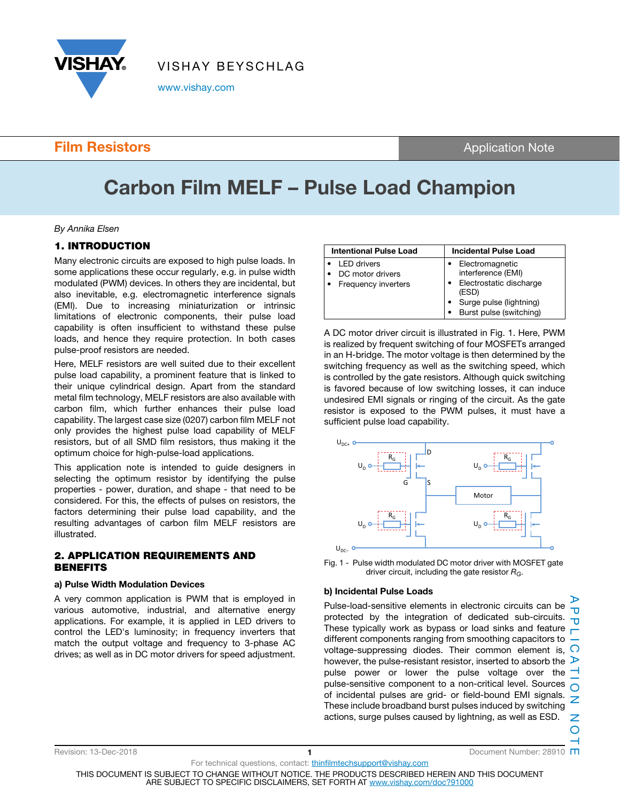

www.vishay.com

### **Film Resistors Application Note**

# Carbon Film MELF – Pulse Load Champion

#### By Annika Elsen

#### 1. INTRODUCTION

Many electronic circuits are exposed to high pulse loads. In some applications these occur regularly, e.g. in pulse width modulated (PWM) devices. In others they are incidental, but also inevitable, e.g. electromagnetic interference signals (EMI). Due to increasing miniaturization or intrinsic limitations of electronic components, their pulse load capability is often insufficient to withstand these pulse loads, and hence they require protection. In both cases pulse-proof resistors are needed.

Here, MELF resistors are well suited due to their excellent pulse load capability, a prominent feature that is linked to their unique cylindrical design. Apart from the standard metal film technology, MELF resistors are also available with carbon film, which further enhances their pulse load capability. The largest case size (0207) carbon film MELF not only provides the highest pulse load capability of MELF resistors, but of all SMD film resistors, thus making it the optimum choice for high-pulse-load applications.

This application note is intended to guide designers in selecting the optimum resistor by identifying the pulse properties - power, duration, and shape - that need to be considered. For this, the effects of pulses on resistors, the factors determining their pulse load capability, and the resulting advantages of carbon film MELF resistors are illustrated.

#### 2. APPLICATION REQUIREMENTS AND **BENEFITS**

#### a) Pulse Width Modulation Devices

A very common application is PWM that is employed in various automotive, industrial, and alternative energy applications. For example, it is applied in LED drivers to control the LED's luminosity; in frequency inverters that match the output voltage and frequency to 3-phase AC drives; as well as in DC motor drivers for speed adjustment.

| <b>Intentional Pulse Load</b>                          | <b>Incidental Pulse Load</b>                                                                                                    |  |
|--------------------------------------------------------|---------------------------------------------------------------------------------------------------------------------------------|--|
| LED drivers<br>DC motor drivers<br>Frequency inverters | Electromagnetic<br>interference (EMI)<br>Electrostatic discharge<br>(ESD)<br>Surge pulse (lightning)<br>Burst pulse (switching) |  |

A DC motor driver circuit is illustrated in Fig. 1. Here, PWM is realized by frequent switching of four MOSFETs arranged in an H-bridge. The motor voltage is then determined by the switching frequency as well as the switching speed, which is controlled by the gate resistors. Although quick switching is favored because of low switching losses, it can induce undesired EMI signals or ringing of the circuit. As the gate resistor is exposed to the PWM pulses, it must have a sufficient pulse load capability.





#### b) Incidental Pulse Loads

Pulse-load-sensitive elements in electronic circuits can be  $\overline{\mathbf{u}}$ protected by the integration of dedicated sub-circuits.  $\frac{1}{1}$ These typically work as bypass or load sinks and feature different components ranging from smoothing capacitors to voltage-suppressing diodes. Their common element is,  $\bigcirc$ however, the pulse-resistant resistor, inserted to absorb the  $\triangleright$ pulse power or lower the pulse voltage over the  $\overline{\phantom{a}}$ pulse-sensitive component to a non-critical level. Sources  $\overline{O}$ pulse-seriality component to a new dependence of incidental pulses are grid- or field-bound EMI signals. These include broadband burst pulses induced by switching actions, surge pulses caused by lightning, as well as ESD.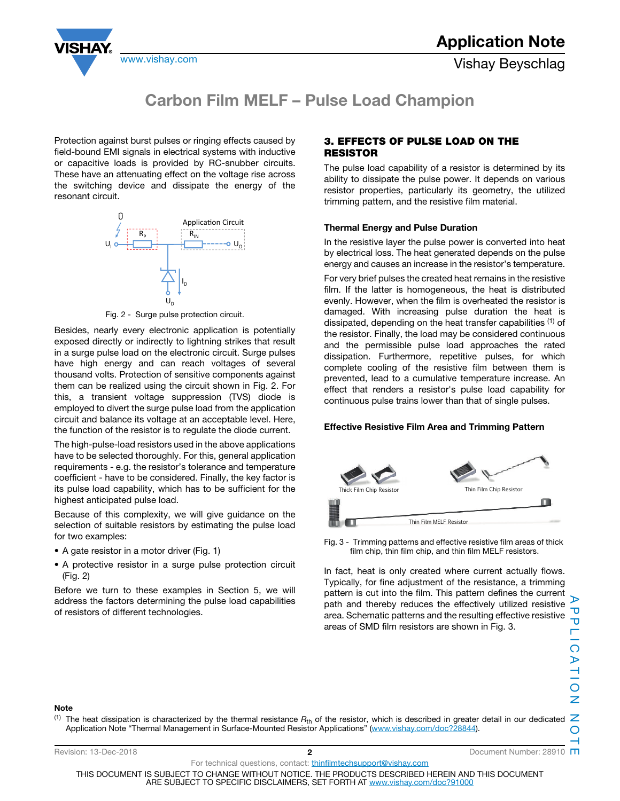www.vishay.com **Vishay Beyschlag** 



### Carbon Film MELF – Pulse Load Champion

Protection against burst pulses or ringing effects caused by field-bound EMI signals in electrical systems with inductive or capacitive loads is provided by RC-snubber circuits. These have an attenuating effect on the voltage rise across the switching device and dissipate the energy of the resonant circuit.



Fig. 2 - Surge pulse protection circuit.

Besides, nearly every electronic application is potentially exposed directly or indirectly to lightning strikes that result in a surge pulse load on the electronic circuit. Surge pulses have high energy and can reach voltages of several thousand volts. Protection of sensitive components against them can be realized using the circuit shown in Fig. 2. For this, a transient voltage suppression (TVS) diode is employed to divert the surge pulse load from the application circuit and balance its voltage at an acceptable level. Here, the function of the resistor is to regulate the diode current.

The high-pulse-load resistors used in the above applications have to be selected thoroughly. For this, general application requirements - e.g. the resistor's tolerance and temperature coefficient - have to be considered. Finally, the key factor is its pulse load capability, which has to be sufficient for the highest anticipated pulse load.

Because of this complexity, we will give guidance on the selection of suitable resistors by estimating the pulse load for two examples:

- A gate resistor in a motor driver (Fig. 1)
- A protective resistor in a surge pulse protection circuit (Fig. 2)

Before we turn to these examples in Section 5, we will address the factors determining the pulse load capabilities of resistors of different technologies.

#### 3. EFFECTS OF PULSE LOAD ON THE RESISTOR

The pulse load capability of a resistor is determined by its ability to dissipate the pulse power. It depends on various resistor properties, particularly its geometry, the utilized trimming pattern, and the resistive film material.

#### Thermal Energy and Pulse Duration

In the resistive layer the pulse power is converted into heat by electrical loss. The heat generated depends on the pulse energy and causes an increase in the resistor's temperature. For very brief pulses the created heat remains in the resistive film. If the latter is homogeneous, the heat is distributed evenly. However, when the film is overheated the resistor is damaged. With increasing pulse duration the heat is dissipated, depending on the heat transfer capabilities  $(1)$  of the resistor. Finally, the load may be considered continuous and the permissible pulse load approaches the rated dissipation. Furthermore, repetitive pulses, for which complete cooling of the resistive film between them is prevented, lead to a cumulative temperature increase. An effect that renders a resistor's pulse load capability for continuous pulse trains lower than that of single pulses.

#### Effective Resistive Film Area and Trimming Pattern



Fig. 3 - Trimming patterns and effective resistive film areas of thick film chip, thin film chip, and thin film MELF resistors.

In fact, heat is only created where current actually flows. Typically, for fine adjustment of the resistance, a trimming pattern is cut into the film. This pattern defines the current path and thereby reduces the effectively utilized resistive area. Schematic patterns and the resulting effective resistive areas of SMD film resistors are shown in Fig. 3.

#### Note

(1) The heat dissipation is characterized by the thermal resistance  $R_{th}$  of the resistor, which is described in greater detail in our dedicated  $Z$ Application Note "Thermal Management in Surface-Mounted Resistor Applications" (www.vishay.com/doc?28844).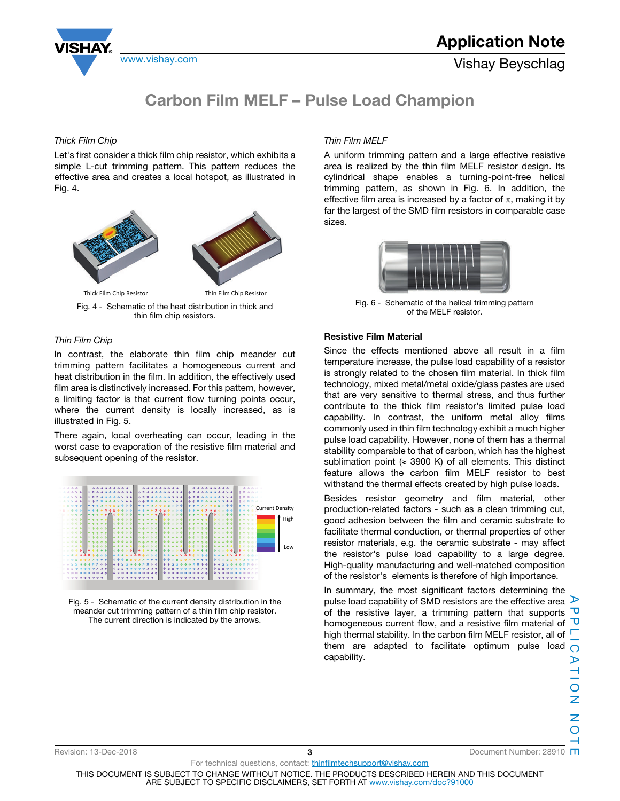



#### Thick Film Chip

Let's first consider a thick film chip resistor, which exhibits a simple L-cut trimming pattern. This pattern reduces the effective area and creates a local hotspot, as illustrated in Fig. 4.



Fig. 4 - Schematic of the heat distribution in thick and thin film chip resistors.

#### Thin Film Chip

In contrast, the elaborate thin film chip meander cut trimming pattern facilitates a homogeneous current and heat distribution in the film. In addition, the effectively used film area is distinctively increased. For this pattern, however, a limiting factor is that current flow turning points occur, where the current density is locally increased, as is illustrated in Fig. 5.

There again, local overheating can occur, leading in the worst case to evaporation of the resistive film material and subsequent opening of the resistor.





#### Thin Film MELF

A uniform trimming pattern and a large effective resistive area is realized by the thin film MELF resistor design. Its cylindrical shape enables a turning-point-free helical trimming pattern, as shown in Fig. 6. In addition, the effective film area is increased by a factor of  $\pi$ , making it by far the largest of the SMD film resistors in comparable case sizes.



Fig. 6 - Schematic of the helical trimming pattern of the MELF resistor.

#### Resistive Film Material

Since the effects mentioned above all result in a film temperature increase, the pulse load capability of a resistor is strongly related to the chosen film material. In thick film technology, mixed metal/metal oxide/glass pastes are used that are very sensitive to thermal stress, and thus further contribute to the thick film resistor's limited pulse load capability. In contrast, the uniform metal alloy films commonly used in thin film technology exhibit a much higher pulse load capability. However, none of them has a thermal stability comparable to that of carbon, which has the highest sublimation point ( $\approx$  3900 K) of all elements. This distinct feature allows the carbon film MELF resistor to best withstand the thermal effects created by high pulse loads.

Besides resistor geometry and film material, other production-related factors - such as a clean trimming cut, good adhesion between the film and ceramic substrate to facilitate thermal conduction, or thermal properties of other resistor materials, e.g. the ceramic substrate - may affect the resistor's pulse load capability to a large degree. High-quality manufacturing and well-matched composition of the resistor's elements is therefore of high importance.

In summary, the most significant factors determining the pulse load capability of SMD resistors are the effective area  $\triangleright$ of the resistive layer, a trimming pattern that supports  $\overline{\mathbf{U}}$ homogeneous current flow, and a resistive film material of high thermal stability. In the carbon film MELF resistor, all of  $\Box$ them are adapted to facilitate optimum pulse load capability.

Revision: 13-Dec-2018 **3 3 2008 2008 3 2008 2008 2008 2008 3 2008 2008 2008 2008 2008 2008 2008 2008 2008 2008 2008 2008 2008 2008 2008 2008 2008 2008 2008 2008 2**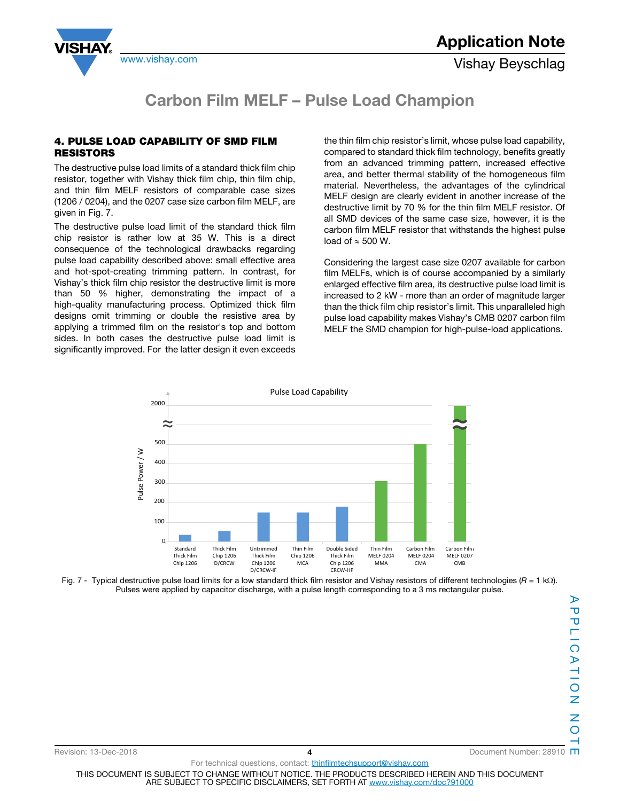



#### 4. PULSE LOAD CAPABILITY OF SMD FILM RESISTORS

The destructive pulse load limits of a standard thick film chip resistor, together with Vishay thick film chip, thin film chip, and thin film MELF resistors of comparable case sizes (1206 / 0204), and the 0207 case size carbon film MELF, are given in Fig. 7.

The destructive pulse load limit of the standard thick film chip resistor is rather low at 35 W. This is a direct consequence of the technological drawbacks regarding pulse load capability described above: small effective area and hot-spot-creating trimming pattern. In contrast, for Vishay's thick film chip resistor the destructive limit is more than 50 % higher, demonstrating the impact of a high-quality manufacturing process. Optimized thick film designs omit trimming or double the resistive area by applying a trimmed film on the resistor's top and bottom sides. In both cases the destructive pulse load limit is significantly improved. For the latter design it even exceeds the thin film chip resistor's limit, whose pulse load capability, compared to standard thick film technology, benefits greatly from an advanced trimming pattern, increased effective area, and better thermal stability of the homogeneous film material. Nevertheless, the advantages of the cylindrical MELF design are clearly evident in another increase of the destructive limit by 70 % for the thin film MELF resistor. Of all SMD devices of the same case size, however, it is the carbon film MELF resistor that withstands the highest pulse load of  $\approx$  500 W.

Considering the largest case size 0207 available for carbon film MELFs, which is of course accompanied by a similarly enlarged effective film area, its destructive pulse load limit is increased to 2 kW - more than an order of magnitude larger than the thick film chip resistor's limit. This unparalleled high pulse load capability makes Vishay's CMB 0207 carbon film MELF the SMD champion for high-pulse-load applications.



Fig. 7 - Typical destructive pulse load limits for a low standard thick film resistor and Vishay resistors of different technologies ( $R = 1$  k $\Omega$ ). Pulses were applied by capacitor discharge, with a pulse length corresponding to a 3 ms rectangular pulse.

Revision: 13-Dec-2018 **1990 12:00 12:00 13:00 14 Provision: 13-Dec-2018 10:00 14:00 14:00 14:00 14:00 14:00 14:00 14:00 14:00 14:00 14:00 14:00 14:00 14:00 14:00 14:00 14:00 14:00 14:00 14:00 14:00 14:00 14:00 14:00 14:0**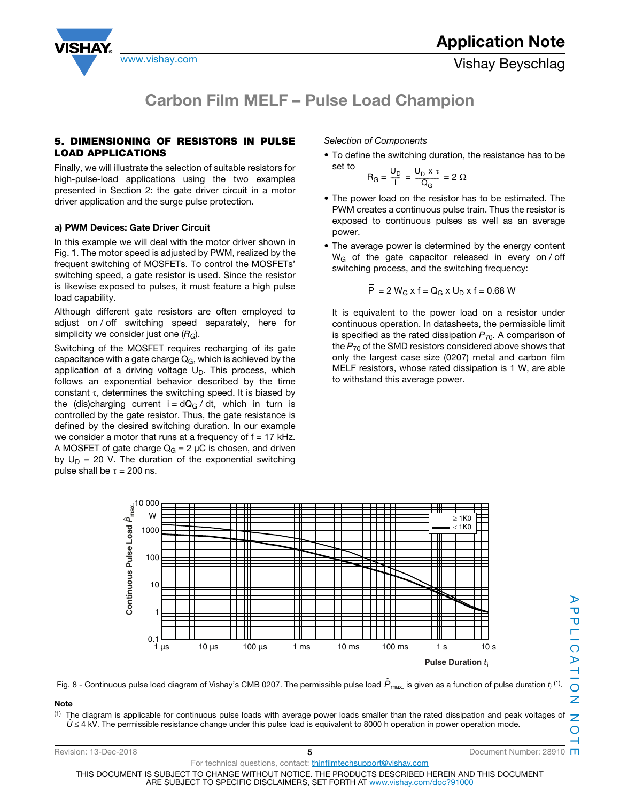



#### 5. DIMENSIONING OF RESISTORS IN PULSE LOAD APPLICATIONS

Finally, we will illustrate the selection of suitable resistors for high-pulse-load applications using the two examples presented in Section 2: the gate driver circuit in a motor driver application and the surge pulse protection.

#### a) PWM Devices: Gate Driver Circuit

In this example we will deal with the motor driver shown in Fig. 1. The motor speed is adjusted by PWM, realized by the frequent switching of MOSFETs. To control the MOSFETs' switching speed, a gate resistor is used. Since the resistor is likewise exposed to pulses, it must feature a high pulse load capability.

Although different gate resistors are often employed to adjust on / off switching speed separately, here for simplicity we consider just one  $(R_G)$ .

Switching of the MOSFET requires recharging of its gate capacitance with a gate charge  $Q_G$ , which is achieved by the application of a driving voltage  $U_D$ . This process, which follows an exponential behavior described by the time constant  $\tau$ , determines the switching speed. It is biased by the (dis)charging current  $i = dQ_G / dt$ , which in turn is controlled by the gate resistor. Thus, the gate resistance is defined by the desired switching duration. In our example we consider a motor that runs at a frequency of  $f = 17$  kHz. A MOSFET of gate charge  $Q_G = 2 \mu C$  is chosen, and driven by  $U_D = 20$  V. The duration of the exponential switching pulse shall be  $\tau = 200$  ns.

Selection of Components

• To define the switching duration, the resistance has to be set to

$$
R_G = \frac{U_D}{I} = \frac{U_D \times \tau}{Q_G} = 2 \Omega
$$

- The power load on the resistor has to be estimated. The PWM creates a continuous pulse train. Thus the resistor is exposed to continuous pulses as well as an average power.
- The average power is determined by the energy content W<sub>G</sub> of the gate capacitor released in every on / off switching process, and the switching frequency:

$$
\overline{P} = 2 W_G x f = Q_G x U_D x f = 0.68 W
$$

It is equivalent to the power load on a resistor under continuous operation. In datasheets, the permissible limit is specified as the rated dissipation  $P_{70}$ . A comparison of the  $P_{70}$  of the SMD resistors considered above shows that only the largest case size (0207) metal and carbon film MELF resistors, whose rated dissipation is 1 W, are able to withstand this average power.



Fig. 8 - Continuous pulse load diagram of Vishay's CMB 0207. The permissible pulse load  $\hat{P}_{\sf max.}$  is given as a function of pulse duration  $t_i$  (1).

#### Note

(1) The diagram is applicable for continuous pulse loads with average power loads smaller than the rated dissipation and peak voltages of  $\hat U$  ≤ 4 kV. The permissible resistance change under this pulse load is equivalent to 8000 h operation in power operation mode.

| Revision: 13-Dec-2018                                                                                                                                                            |                                                                  | Document Number: 28910 |
|----------------------------------------------------------------------------------------------------------------------------------------------------------------------------------|------------------------------------------------------------------|------------------------|
|                                                                                                                                                                                  | For technical questions, contact: thinfilmtechsupport@vishay.com |                        |
| THIS DOCUMENT IS SUBJECT TO CHANGE WITHOUT NOTICE. THE PRODUCTS DESCRIBED HEREIN AND THIS DOCUMENT<br>ARE SUBJECT TO SPECIFIC DISCLAIMERS, SET FORTH AT www.vishav.com/doc?91000 |                                                                  |                        |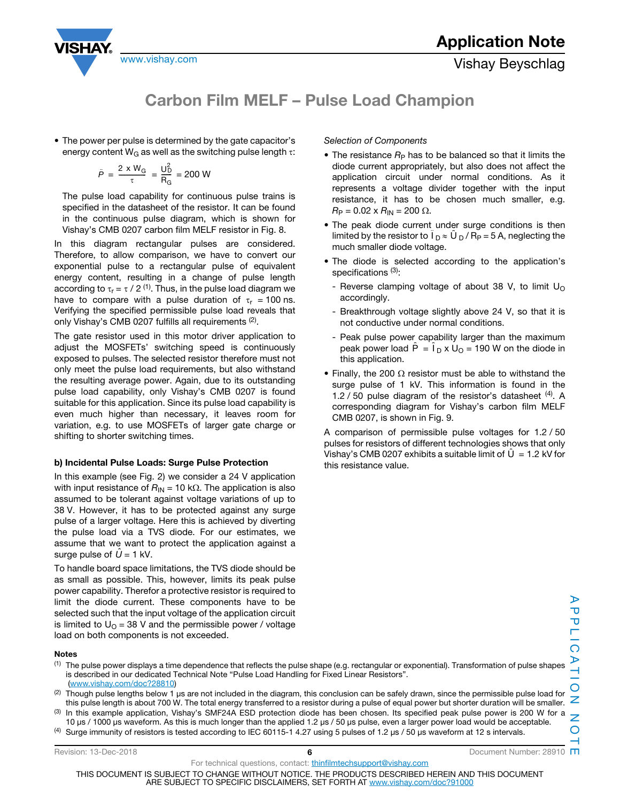



• The power per pulse is determined by the gate capacitor's energy content W<sub>G</sub> as well as the switching pulse length  $\tau$ :

$$
\hat{P} = \frac{2 \times W_{\rm G}}{\tau} = \frac{U_{\rm D}^2}{R_{\rm G}} = 200 \text{ W}
$$

The pulse load capability for continuous pulse trains is specified in the datasheet of the resistor. It can be found in the continuous pulse diagram, which is shown for Vishay's CMB 0207 carbon film MELF resistor in Fig. 8.

In this diagram rectangular pulses are considered. Therefore, to allow comparison, we have to convert our exponential pulse to a rectangular pulse of equivalent energy content, resulting in a change of pulse length according to  $\tau_r = \tau / 2$  <sup>(1)</sup>. Thus, in the pulse load diagram we have to compare with a pulse duration of  $\tau_r = 100$  ns. Verifying the specified permissible pulse load reveals that only Vishay's CMB 0207 fulfills all requirements (2).

The gate resistor used in this motor driver application to adjust the MOSFETs' switching speed is continuously exposed to pulses. The selected resistor therefore must not only meet the pulse load requirements, but also withstand the resulting average power. Again, due to its outstanding pulse load capability, only Vishay's CMB 0207 is found suitable for this application. Since its pulse load capability is even much higher than necessary, it leaves room for variation, e.g. to use MOSFETs of larger gate charge or shifting to shorter switching times.

#### b) Incidental Pulse Loads: Surge Pulse Protection

In this example (see Fig. 2) we consider a 24 V application with input resistance of  $R_{\text{IN}} = 10 \text{ k}\Omega$ . The application is also assumed to be tolerant against voltage variations of up to 38 V. However, it has to be protected against any surge pulse of a larger voltage. Here this is achieved by diverting the pulse load via a TVS diode. For our estimates, we assume that we want to protect the application against a surge pulse of  $\hat{U}$  = 1 kV.

To handle board space limitations, the TVS diode should be as small as possible. This, however, limits its peak pulse power capability. Therefor a protective resistor is required to limit the diode current. These components have to be selected such that the input voltage of the application circuit is limited to  $U<sub>0</sub> = 38$  V and the permissible power / voltage load on both components is not exceeded.

### Selection of Components

- The resistance  $R_P$  has to be balanced so that it limits the diode current appropriately, but also does not affect the application circuit under normal conditions. As it represents a voltage divider together with the input resistance, it has to be chosen much smaller, e.g.  $R_P = 0.02 \times R_{IN} = 200 \Omega$ .
- The peak diode current under surge conditions is then limited by the resistor to  $\hat{I}_D \approx \hat{U}_D / R_P = 5$  A, neglecting the much smaller diode voltage.
- The diode is selected according to the application's specifications<sup>(3)</sup>:
	- Reverse clamping voltage of about 38 V, to limit  $U<sub>O</sub>$ accordingly.
	- Breakthrough voltage slightly above 24 V, so that it is not conductive under normal conditions.
	- Peak pulse power capability larger than the maximum peak power load  $\hat{P} = \hat{I}_D \times U_O = 190$  W on the diode in this application.
- Finally, the 200  $\Omega$  resistor must be able to withstand the surge pulse of 1 kV. This information is found in the 1.2  $/$  50 pulse diagram of the resistor's datasheet  $(4)$ . A corresponding diagram for Vishay's carbon film MELF CMB 0207, is shown in Fig. 9.

A comparison of permissible pulse voltages for 1.2 / 50 pulses for resistors of different technologies shows that only Vishay's CMB 0207 exhibits a suitable limit of  $\hat{U} = 1.2$  kV for this resistance value.

#### Notes

- $<sup>(1)</sup>$  The pulse power displays a time dependence that reflects the pulse shape (e.g. rectangular or exponential). Transformation of pulse shapes</sup> is described in our dedicated Technical Note "Pulse Load Handling for Fixed Linear Resistors". (www.vishay.com/doc?28810)
- (2) Though pulse lengths below 1 µs are not included in the diagram, this conclusion can be safely drawn, since the permissible pulse load for this pulse length is about 700 W. The total energy transferred to a resistor during a pulse of equal power but shorter duration will be smaller.
- In this example application, Vishay's SMF24A ESD protection diode has been chosen. Its specified peak pulse power is 200 W for a 10 μs / 1000 μs waveform. As this is much longer than the applied 1.2 μs / 50 μs pulse, even a larger power load would be acceptable.
- (4) Surge immunity of resistors is tested according to IEC 60115-1 4.27 using 5 pulses of 1.2  $\mu$ s / 50  $\mu$ s waveform at 12 s intervals.

Revision: 13-Dec-2018 **6 6 6 1** Document Number: 28910 **m** 

For technical questions, contact: *thinfilmtechsupport@vishay.com* 

THIS DOCUMENT IS SUBJECT TO CHANGE WITHOUT NOTICE. THE PRODUCTS DESCRIBED HEREIN AND THIS DOCUMENT

ARE SUBJECT TO SPECIFIC DISCLAIMERS, SET FORTH AT www.vishay.com/doc?91000